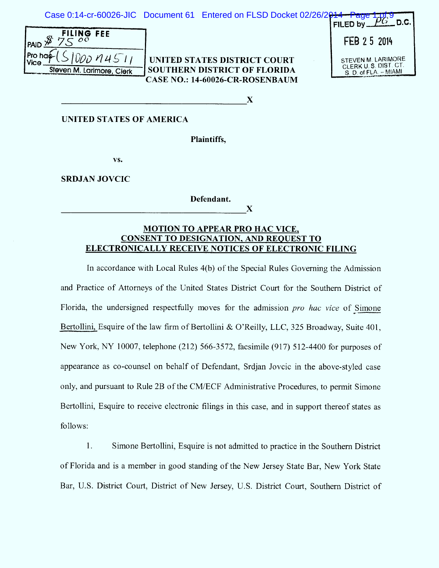Case 0:14-cr-60026-JIC Document 61 Entered on FLSD Docket 02/26/

| PAID \$ | FILING FEE                |
|---------|---------------------------|
|         | Proofes(510001451)        |
|         | Steven M. Larimore, Clerk |

| UNITED STATES DISTRICT COURT    |
|---------------------------------|
| SOUTHERN DISTRICT OF FLORIDA    |
| CASE NO.: 14-60026-CR-ROSENBAUM |

| $\frac{2014 - Page 101.9}{F}$<br>FILED by $\pm$                     |
|---------------------------------------------------------------------|
| FEB 25 2014                                                         |
| STEVEN M. LARIMORE<br>CLERK U.S. DIST. CT.<br>S. D. of FLA. - MIAMI |

 $\mathbf X$ 

 $\mathbf X$ 

## **UNITED STATES OF AMERICA**

Plaintiffs.

vs.

**SRDJAN JOVCIC** 

Defendant.

## **MOTION TO APPEAR PRO HAC VICE. CONSENT TO DESIGNATION, AND REOUEST TO** ELECTRONICALLY RECEIVE NOTICES OF ELECTRONIC FILING

In accordance with Local Rules 4(b) of the Special Rules Governing the Admission and Practice of Attorneys of the United States District Court for the Southern District of Florida, the undersigned respectfully moves for the admission pro hac vice of Simone Bertollini, Esquire of the law firm of Bertollini & O'Reilly, LLC, 325 Broadway, Suite 401, New York, NY 10007, telephone (212) 566-3572, facsimile (917) 512-4400 for purposes of appearance as co-counsel on behalf of Defendant, Srdjan Jovcic in the above-styled case only, and pursuant to Rule 2B of the CM/ECF Administrative Procedures, to permit Simone Bertollini, Esquire to receive electronic filings in this case, and in support thereof states as follows:

1. Simone Bertollini, Esquire is not admitted to practice in the Southern District of Florida and is a member in good standing of the New Jersey State Bar, New York State Bar, U.S. District Court, District of New Jersey, U.S. District Court, Southern District of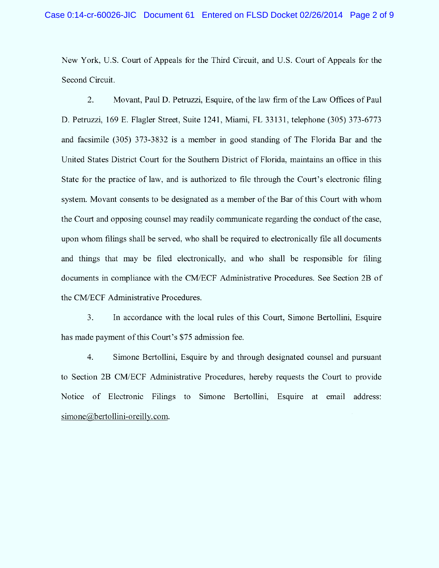New York, U.S. Court of Appeals for the Third Circuit, and U.S. Court of Appeals for the Second Circuit.

2. Movant, Paul D. Petruzzi, Esquire, of the law firm of the Law Offices of Paul D. Petruzzi, 169 E. Flagler Street, Suite 1241, Miami, FL 33131, telephone (305) 373-6773 and facsimile (305) 373-3832 is a member in good standing of The Florida Bar and the United States District Court for the Southern District of Florida, maintains an office in this State for the practice of law, and is authorized to file through the Court's electronic filing system. Movant consents to be designated as a member of the Bar of this Court with whom the Court and opposing counsel may readily communicate regarding the conduct of the case, upon whom filings shall be served, who shall be required to electronically file all documents and things that may be filed electronically, and who shall be responsible for filing documents in compliance with the CM/ECF Administrative Procedures. See Section 2B of the CM/ECF Administrative Procedures.

3. has made payment of this Court's \$75 admission fee. In accordance with the local rules of this Court, Simone Bertollini, Esquire

4. Sim one Bertollini, Esquire by and through designated counsel and pursuant to Section 2B CM/ECF Administrative Procedures, hereby requests the Court to provide Notice of Electronic Filings to Simone Bertollini, Esquire at email address:  $simone@bertollini-oreilly.com.$